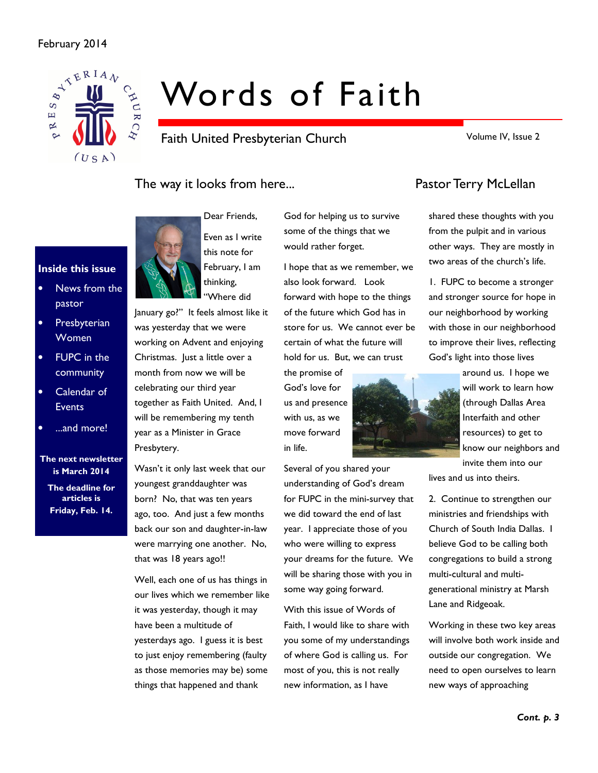### February 2014



# Words of Faith

Faith United Presbyterian Church

Volume IV, Issue 2

# The way it looks from here... The way it looks from here...



Dear Friends, Even as I write this note for February, I am thinking, "Where did

January go?" It feels almost like it was yesterday that we were working on Advent and enjoying Christmas. Just a little over a month from now we will be celebrating our third year together as Faith United. And, I will be remembering my tenth year as a Minister in Grace Presbytery.

Wasn't it only last week that our youngest granddaughter was born? No, that was ten years ago, too. And just a few months back our son and daughter-in-law were marrying one another. No, that was 18 years ago!!

Well, each one of us has things in our lives which we remember like it was yesterday, though it may have been a multitude of yesterdays ago. I guess it is best to just enjoy remembering (faulty as those memories may be) some things that happened and thank

God for helping us to survive some of the things that we would rather forget.

I hope that as we remember, we also look forward. Look forward with hope to the things of the future which God has in store for us. We cannot ever be certain of what the future will hold for us. But, we can trust

the promise of God's love for us and presence with us, as we move forward in life.

Several of you shared your understanding of God's dream for FUPC in the mini-survey that we did toward the end of last year. I appreciate those of you who were willing to express your dreams for the future. We will be sharing those with you in some way going forward.

With this issue of Words of Faith, I would like to share with you some of my understandings of where God is calling us. For most of you, this is not really new information, as I have

shared these thoughts with you from the pulpit and in various other ways. They are mostly in two areas of the church's life.

1. FUPC to become a stronger and stronger source for hope in our neighborhood by working with those in our neighborhood to improve their lives, reflecting God's light into those lives

around us. I hope we will work to learn how (through Dallas Area Interfaith and other resources) to get to know our neighbors and invite them into our lives and us into theirs.

2. Continue to strengthen our ministries and friendships with Church of South India Dallas. I believe God to be calling both congregations to build a strong multi-cultural and multigenerational ministry at Marsh Lane and Ridgeoak.

Working in these two key areas will involve both work inside and outside our congregation. We need to open ourselves to learn new ways of approaching

### Inside this issue

- News from the pastor
- Presbyterian Women
- FUPC in the community
- Calendar of **Events**
- ...and more!
- The next newsletter is March 2014

The deadline for articles is Friday, Feb. 14.

Cont. p. 3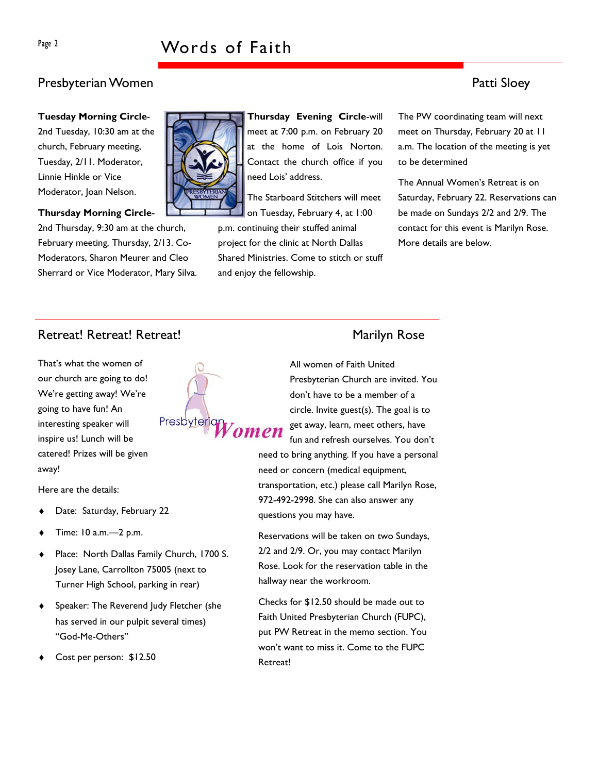# Page 2 Words of Faith

# Presbyterian Women **Patti Sloey**

Tuesday Morning Circle-

2nd Tuesday, 10:30 am at the church, February meeting, Tuesday, 2/11. Moderator, Linnie Hinkle or Vice Moderator, Joan Nelson.

#### Thursday Morning Circle-

2nd Thursday, 9:30 am at the church, February meeting, Thursday, 2/13. Co-Moderators, Sharon Meurer and Cleo Sherrard or Vice Moderator, Mary Silva.



Thursday Evening Circle-will meet at 7:00 p.m. on February 20 at the home of Lois Norton. Contact the church office if you need Lois' address.

The Starboard Stitchers will meet

on Tuesday, February 4, at 1:00 p.m. continuing their stuffed animal project for the clinic at North Dallas Shared Ministries. Come to stitch or stuff and enjoy the fellowship.

The PW coordinating team will next meet on Thursday, February 20 at 11 a.m. The location of the meeting is yet to be determined

The Annual Women's Retreat is on Saturday, February 22. Reservations can be made on Sundays 2/2 and 2/9. The contact for this event is Marilyn Rose. More details are below.

# Retreat! Retreat! Retreat! Marilyn Rose

That's what the women of our church are going to do! We're getting away! We're going to have fun! An interesting speaker will inspire us! Lunch will be catered! Prizes will be given away!

Here are the details:

- Date: Saturday, February 22
- Time: 10 a.m. -2 p.m.
- Place: North Dallas Family Church, 1700 S. Josey Lane, Carrollton 75005 (next to Turner High School, parking in rear)
- Speaker: The Reverend Judy Fletcher (she has served in our pulpit several times) "God-Me-Others"
- Cost per person: \$12.50



All women of Faith United Presbyterian Church are invited. You don't have to be a member of a circle. Invite guest(s). The goal is to get away, learn, meet others, have fun and refresh ourselves. You don't need to bring anything. If you have a personal need or concern (medical equipment, transportation, etc.) please call Marilyn Rose, 972-492-2998. She can also answer any questions you may have.

Reservations will be taken on two Sundays, 2/2 and 2/9. Or, you may contact Marilyn Rose. Look for the reservation table in the hallway near the workroom.

Checks for \$12.50 should be made out to Faith United Presbyterian Church (FUPC), put PW Retreat in the memo section. You won't want to miss it. Come to the FUPC Retreat!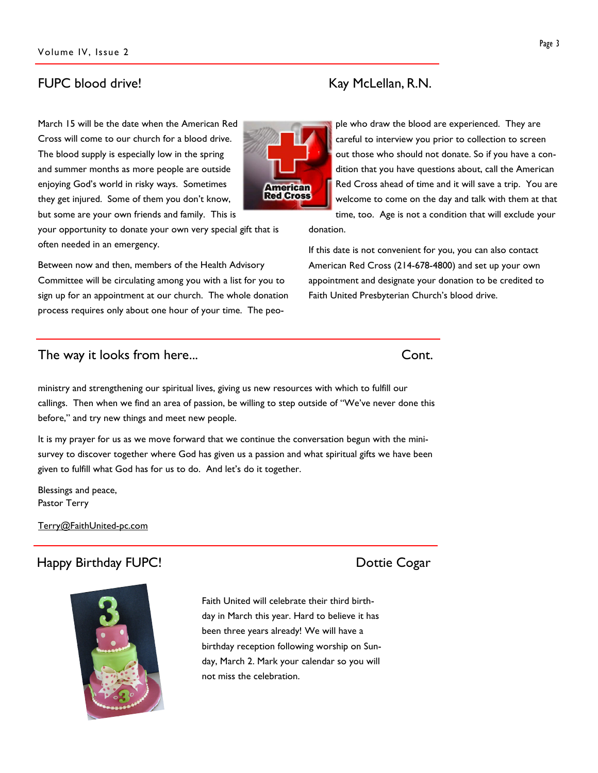### FUPC blood drive! Example 20 No. 2011 No. 2012 No. 2014 No. 2014 No. 2014 No. 2014 No. 2014 No. 2014 No. 2014 N

March 15 will be the date when the American Red Cross will come to our church for a blood drive. The blood supply is especially low in the spring and summer months as more people are outside enjoying God's world in risky ways. Sometimes they get injured. Some of them you don't know, but some are your own friends and family. This is

your opportunity to donate your own very special gift that is often needed in an emergency.

Between now and then, members of the Health Advisory Committee will be circulating among you with a list for you to sign up for an appointment at our church. The whole donation process requires only about one hour of your time. The peo-

#### The way it looks from here... Cont.

ministry and strengthening our spiritual lives, giving us new resources with which to fulfill our callings. Then when we find an area of passion, be willing to step outside of "We've never done this before," and try new things and meet new people.

It is my prayer for us as we move forward that we continue the conversation begun with the minisurvey to discover together where God has given us a passion and what spiritual gifts we have been given to fulfill what God has for us to do. And let's do it together.

Blessings and peace, Pastor Terry

Terry@FaithUnited-pc.com

# Happy Birthday FUPC! Dottie Cogar

Faith United will celebrate their third birthday in March this year. Hard to believe it has been three years already! We will have a birthday reception following worship on Sunday, March 2. Mark your calendar so you will not miss the celebration.

ple who draw the blood are experienced. They are careful to interview you prior to collection to screen out those who should not donate. So if you have a condition that you have questions about, call the American Red Cross ahead of time and it will save a trip. You are welcome to come on the day and talk with them at that time, too. Age is not a condition that will exclude your

donation.

If this date is not convenient for you, you can also contact American Red Cross (214-678-4800) and set up your own appointment and designate your donation to be credited to Faith United Presbyterian Church's blood drive.



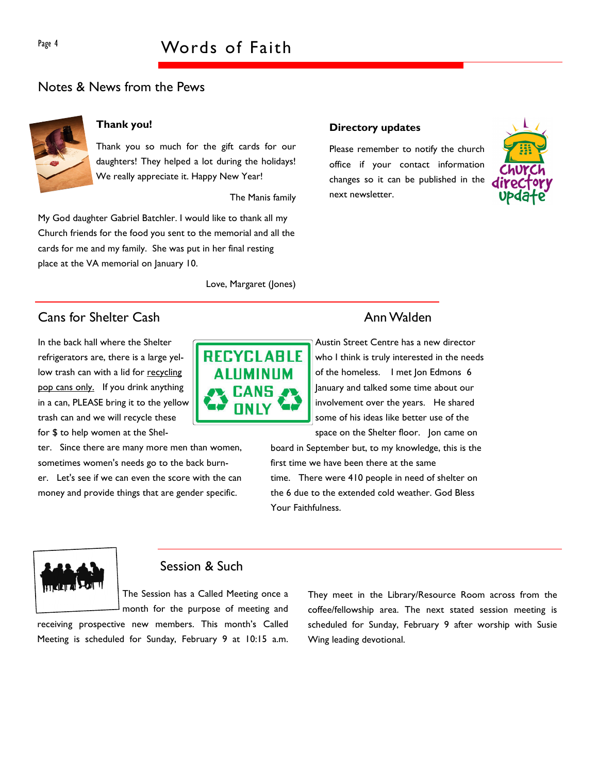### Notes & News from the Pews



### Thank you!

Thank you so much for the gift cards for our daughters! They helped a lot during the holidays! We really appreciate it. Happy New Year!

The Manis family

My God daughter Gabriel Batchler. I would like to thank all my Church friends for the food you sent to the memorial and all the cards for me and my family. She was put in her final resting place at the VA memorial on January 10.

#### Love, Margaret (Jones)

# **Cans for Shelter Cash Ann Walden** Ann Walden

In the back hall where the Shelter refrigerators are, there is a large yellow trash can with a lid for recycling pop cans only. If you drink anything in a can, PLEASE bring it to the yellow trash can and we will recycle these for \$ to help women at the Shel-

ter. Since there are many more men than women, sometimes women's needs go to the back burner. Let's see if we can even the score with the can money and provide things that are gender specific.



#### Directory updates

Please remember to notify the church office if your contact information changes so it can be published in the next newsletter.



Austin Street Centre has a new director who I think is truly interested in the needs of the homeless. I met Jon Edmons 6 January and talked some time about our involvement over the years. He shared some of his ideas like better use of the space on the Shelter floor. Jon came on

board in September but, to my knowledge, this is the first time we have been there at the same time. There were 410 people in need of shelter on the 6 due to the extended cold weather. God Bless Your Faithfulness.



### Session & Such

The Session has a Called Meeting once a month for the purpose of meeting and

receiving prospective new members. This month's Called Meeting is scheduled for Sunday, February 9 at 10:15 a.m. They meet in the Library/Resource Room across from the coffee/fellowship area. The next stated session meeting is scheduled for Sunday, February 9 after worship with Susie Wing leading devotional.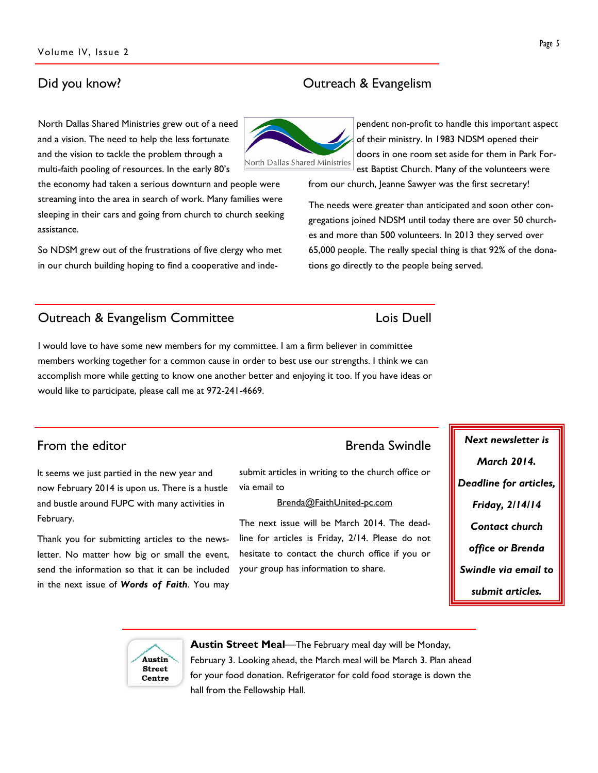## Did you know? **Outreach & Evangelism**

North Dallas Shared Ministries grew out of a need and a vision. The need to help the less fortunate and the vision to tackle the problem through a multi-faith pooling of resources. In the early 80's

the economy had taken a serious downturn and people were streaming into the area in search of work. Many families were sleeping in their cars and going from church to church seeking assistance.

So NDSM grew out of the frustrations of five clergy who met in our church building hoping to find a cooperative and inde-

## **Outreach & Evangelism Committee Louis Duell** Lois Duell

I would love to have some new members for my committee. I am a firm believer in committee members working together for a common cause in order to best use our strengths. I think we can accomplish more while getting to know one another better and enjoying it too. If you have ideas or would like to participate, please call me at 972-241-4669.

It seems we just partied in the new year and now February 2014 is upon us. There is a hustle and bustle around FUPC with many activities in February.

Thank you for submitting articles to the newsletter. No matter how big or small the event, send the information so that it can be included in the next issue of Words of Faith. You may

submit articles in writing to the church office or via email to

#### Brenda@FaithUnited-pc.com

The next issue will be March 2014. The deadline for articles is Friday, 2/14. Please do not hesitate to contact the church office if you or your group has information to share.

pendent non-profit to handle this important aspect of their ministry. In 1983 NDSM opened their doors in one room set aside for them in Park Forest Baptist Church. Many of the volunteers were

from our church, Jeanne Sawyer was the first secretary!

The needs were greater than anticipated and soon other congregations joined NDSM until today there are over 50 churches and more than 500 volunteers. In 2013 they served over 65,000 people. The really special thing is that 92% of the donations go directly to the people being served.

# From the editor **Example 2018** Swindle Next newsletter is

March 2014. Deadline for articles, Friday, 2/14/14 Contact church office or Brenda Swindle via email to submit articles.



Austin Street Meal—The February meal day will be Monday,

February 3. Looking ahead, the March meal will be March 3. Plan ahead for your food donation. Refrigerator for cold food storage is down the hall from the Fellowship Hall.

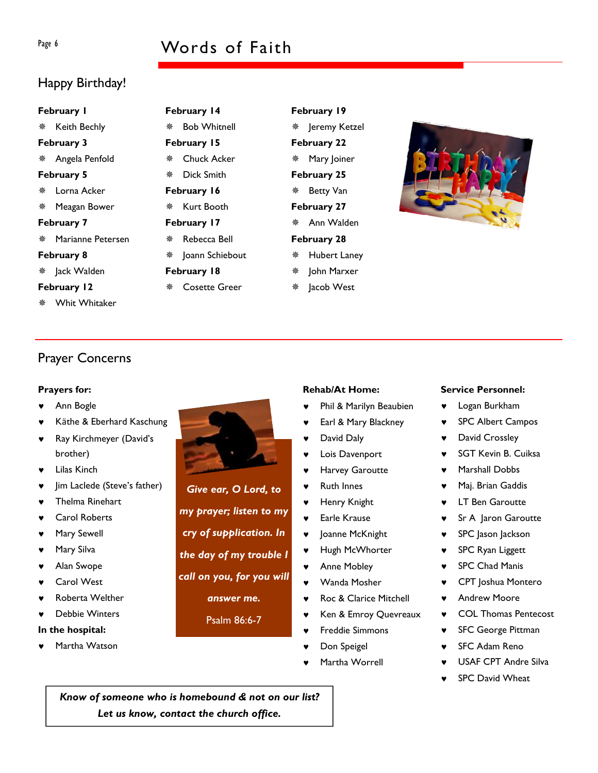# Page 6 Words of Faith

# Happy Birthday!

|                  | February I          |   |  |  |  |
|------------------|---------------------|---|--|--|--|
|                  | ※ Keith Bechly      |   |  |  |  |
|                  | February 3          |   |  |  |  |
|                  | * Angela Penfold    | í |  |  |  |
|                  | February 5          | ł |  |  |  |
|                  | ※ Lorna Acker       |   |  |  |  |
|                  | * Meagan Bower      | í |  |  |  |
|                  | February 7          |   |  |  |  |
|                  | * Marianne Petersen | ł |  |  |  |
|                  | February 8          | ł |  |  |  |
|                  | ※ Jack Walden       |   |  |  |  |
| February 12<br>ł |                     |   |  |  |  |
|                  | * Whit Whitaker     |   |  |  |  |

February 14 Bob Whitnell February 15 Chuck Acker Dick Smith February 16 *<b>\* Kurt Booth February 17 Rebecca Bell  $*$  Ioann Schiebout

- February 18
- Cosette Greer

February 19 Jeremy Ketzel February 22 Mary Joiner February 25 Betty Van February 27 Ann Walden February 28 Hubert Laney John Marxer lacob West



# Prayer Concerns

#### Prayers for:

- Ann Bogle
- Käthe & Eberhard Kaschung
- Ray Kirchmeyer (David's brother)
- **Lilas Kinch**
- Jim Laclede (Steve's father)
- Thelma Rinehart
- **Carol Roberts**
- Mary Sewell
- Mary Silva
- Alan Swope
- **Carol West**
- Roberta Welther
- Debbie Winters

#### In the hospital:

Martha Watson



Give ear, O Lord, to my prayer; listen to my cry of supplication. In the day of my trouble I call on you, for you will

answer me.

Psalm 86:6-7

#### Rehab/At Home:

- Phil & Marilyn Beaubien
- Earl & Mary Blackney
- David Daly
- Lois Davenport
- ♥ Harvey Garoutte
- **Ruth Innes**
- ♥ Henry Knight
- ♥ Earle Krause
- ♥ Joanne McKnight
- Hugh McWhorter
- Anne Mobley
- Wanda Mosher
- Roc & Clarice Mitchell
- ♥ Ken & Emroy Quevreaux
- Freddie Simmons
- Don Speigel
- Martha Worrell

#### Service Personnel:

- ♥ Logan Burkham
- ♥ SPC Albert Campos
- ♥ David Crossley
- **SGT Kevin B. Cuiksa**
- ♥ Marshall Dobbs
- ♥ Maj. Brian Gaddis
- ♥ LT Ben Garoutte
- ♥ Sr A Jaron Garoutte
- ♥ SPC Jason Jackson
- ♥ SPC Ryan Liggett
- ♥ SPC Chad Manis
- ♥ CPT Joshua Montero
- **Andrew Moore**
- ♥ COL Thomas Pentecost
- ♥ SFC George Pittman
- **SFC Adam Reno**
- USAF CPT Andre Silva
- **SPC David Wheat**

Know of someone who is homebound & not on our list? Let us know, contact the church office.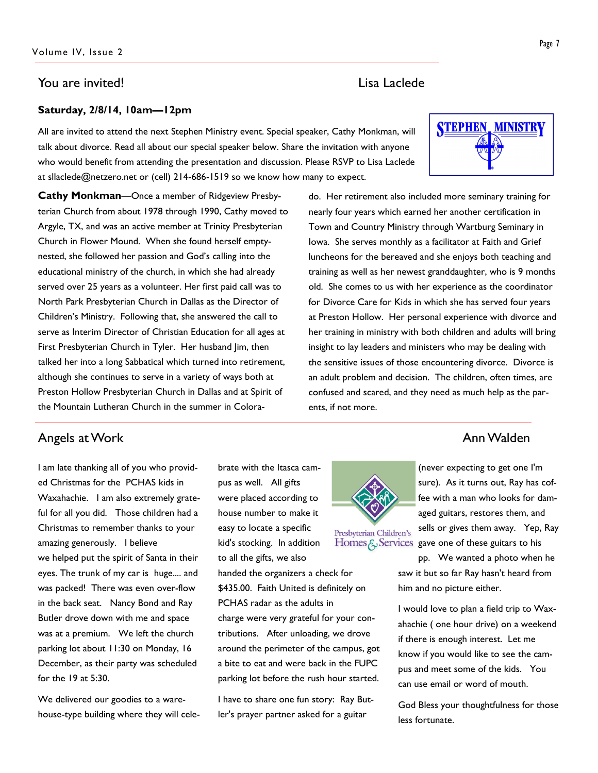### You are invited! Lisa Laclede

#### Saturday, 2/8/14, 10am—12pm

All are invited to attend the next Stephen Ministry event. Special speaker, Cathy Monkman, will talk about divorce. Read all about our special speaker below. Share the invitation with anyone who would benefit from attending the presentation and discussion. Please RSVP to Lisa Laclede at sllaclede@netzero.net or (cell) 214-686-1519 so we know how many to expect.

Cathy Monkman—Once a member of Ridgeview Presbyterian Church from about 1978 through 1990, Cathy moved to Argyle, TX, and was an active member at Trinity Presbyterian Church in Flower Mound. When she found herself emptynested, she followed her passion and God's calling into the educational ministry of the church, in which she had already served over 25 years as a volunteer. Her first paid call was to North Park Presbyterian Church in Dallas as the Director of Children's Ministry. Following that, she answered the call to serve as Interim Director of Christian Education for all ages at First Presbyterian Church in Tyler. Her husband Jim, then talked her into a long Sabbatical which turned into retirement, although she continues to serve in a variety of ways both at Preston Hollow Presbyterian Church in Dallas and at Spirit of the Mountain Lutheran Church in the summer in Colorado. Her retirement also included more seminary training for nearly four years which earned her another certification in Town and Country Ministry through Wartburg Seminary in Iowa. She serves monthly as a facilitator at Faith and Grief luncheons for the bereaved and she enjoys both teaching and training as well as her newest granddaughter, who is 9 months old. She comes to us with her experience as the coordinator for Divorce Care for Kids in which she has served four years at Preston Hollow. Her personal experience with divorce and her training in ministry with both children and adults will bring insight to lay leaders and ministers who may be dealing with the sensitive issues of those encountering divorce. Divorce is an adult problem and decision. The children, often times, are confused and scared, and they need as much help as the parents, if not more.

# Angels at Work **Annual Annual Annual Annual Annual Annual Annual Annual Annual Annual Annual Annual Annual Annu**

I am late thanking all of you who provided Christmas for the PCHAS kids in Waxahachie. I am also extremely grateful for all you did. Those children had a Christmas to remember thanks to your amazing generously. I believe we helped put the spirit of Santa in their eyes. The trunk of my car is huge.... and was packed! There was even over-flow in the back seat. Nancy Bond and Ray Butler drove down with me and space was at a premium. We left the church parking lot about 11:30 on Monday, 16 December, as their party was scheduled for the 19 at 5:30.

We delivered our goodies to a warehouse-type building where they will celebrate with the Itasca campus as well. All gifts were placed according to house number to make it easy to locate a specific kid's stocking. In addition to all the gifts, we also

handed the organizers a check for \$435.00. Faith United is definitely on PCHAS radar as the adults in charge were very grateful for your contributions. After unloading, we drove around the perimeter of the campus, got a bite to eat and were back in the FUPC parking lot before the rush hour started.

I have to share one fun story: Ray Butler's prayer partner asked for a guitar

(never expecting to get one I'm

sure). As it turns out, Ray has coffee with a man who looks for damaged guitars, restores them, and sells or gives them away. Yep, Ray Presbyterian Children's

Homes  $\xi$  Services gave one of these guitars to his

pp. We wanted a photo when he saw it but so far Ray hasn't heard from him and no picture either.

I would love to plan a field trip to Waxahachie ( one hour drive) on a weekend if there is enough interest. Let me know if you would like to see the campus and meet some of the kids. You can use email or word of mouth.

God Bless your thoughtfulness for those less fortunate.